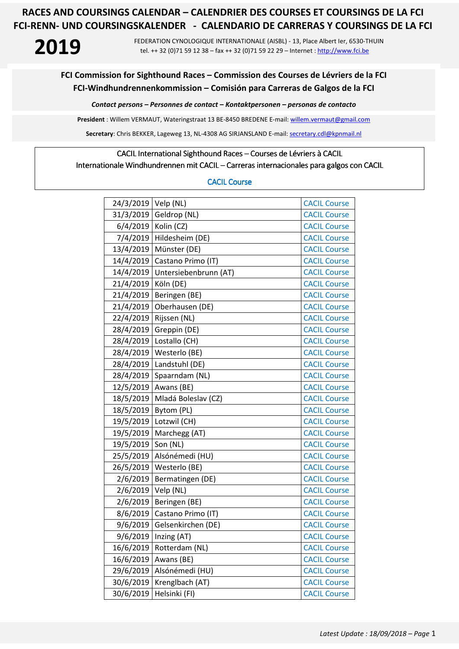**2019** FEDERATION CYNOLOGIQUE INTERNATIONALE (AISBL) - 13, Place Albert Ier, 6530-THUIN tel. ++ 32 (0)71 59 12 38 – fax ++ 32 (0)71 59 22 29 – Internet : http://www.fci.be

### **FCI Commission for Sighthound Races – Commission des Courses de Lévriers de la FCI FCI-Windhundrennenkommission – Comisión para Carreras de Galgos de la FCI**

*Contact persons – Personnes de contact – Kontaktpersonen – personas de contacto* 

**President** : Willem VERMAUT, Wateringstraat 13 BE-8450 BREDENE E-mail: willem.vermaut@gmail.com

Secretary: Chris BEKKER, Lageweg 13, NL-4308 AG SIRJANSLAND E-mail: secretary.cdl@kpnmail.nl

#### CACIL International Sighthound Races – Courses de Lévriers à CACIL

Internationale Windhundrennen mit CACIL – Carreras internacionales para galgos con CACIL

#### CACIL Course

| 24/3/2019 | Velp (NL)             | <b>CACIL Course</b> |
|-----------|-----------------------|---------------------|
| 31/3/2019 | Geldrop (NL)          | <b>CACIL Course</b> |
| 6/4/2019  | Kolin (CZ)            | <b>CACIL Course</b> |
| 7/4/2019  | Hildesheim (DE)       | <b>CACIL Course</b> |
| 13/4/2019 | Münster (DE)          | <b>CACIL Course</b> |
| 14/4/2019 | Castano Primo (IT)    | <b>CACIL Course</b> |
| 14/4/2019 | Untersiebenbrunn (AT) | <b>CACIL Course</b> |
| 21/4/2019 | Köln (DE)             | <b>CACIL Course</b> |
| 21/4/2019 | Beringen (BE)         | <b>CACIL Course</b> |
| 21/4/2019 | Oberhausen (DE)       | <b>CACIL Course</b> |
| 22/4/2019 | Rijssen (NL)          | <b>CACIL Course</b> |
| 28/4/2019 | Greppin (DE)          | <b>CACIL Course</b> |
| 28/4/2019 | Lostallo (CH)         | <b>CACIL Course</b> |
| 28/4/2019 | Westerlo (BE)         | <b>CACIL Course</b> |
| 28/4/2019 | Landstuhl (DE)        | <b>CACIL Course</b> |
| 28/4/2019 | Spaarndam (NL)        | <b>CACIL Course</b> |
| 12/5/2019 | Awans (BE)            | <b>CACIL Course</b> |
| 18/5/2019 | Mladá Boleslav (CZ)   | <b>CACIL Course</b> |
| 18/5/2019 | Bytom (PL)            | <b>CACIL Course</b> |
| 19/5/2019 | Lotzwil (CH)          | <b>CACIL Course</b> |
| 19/5/2019 | Marchegg (AT)         | <b>CACIL Course</b> |
| 19/5/2019 | Son (NL)              | <b>CACIL Course</b> |
| 25/5/2019 | Alsónémedi (HU)       | <b>CACIL Course</b> |
| 26/5/2019 | Westerlo (BE)         | <b>CACIL Course</b> |
| 2/6/2019  | Bermatingen (DE)      | <b>CACIL Course</b> |
| 2/6/2019  | Velp (NL)             | <b>CACIL Course</b> |
| 2/6/2019  | Beringen (BE)         | <b>CACIL Course</b> |
| 8/6/2019  | Castano Primo (IT)    | <b>CACIL Course</b> |
| 9/6/2019  | Gelsenkirchen (DE)    | <b>CACIL Course</b> |
| 9/6/2019  | Inzing (AT)           | <b>CACIL Course</b> |
| 16/6/2019 | Rotterdam (NL)        | <b>CACIL Course</b> |
| 16/6/2019 | Awans (BE)            | <b>CACIL Course</b> |
| 29/6/2019 | Alsónémedi (HU)       | <b>CACIL Course</b> |
| 30/6/2019 | Krenglbach (AT)       | <b>CACIL Course</b> |
| 30/6/2019 | Helsinki (FI)         | <b>CACIL Course</b> |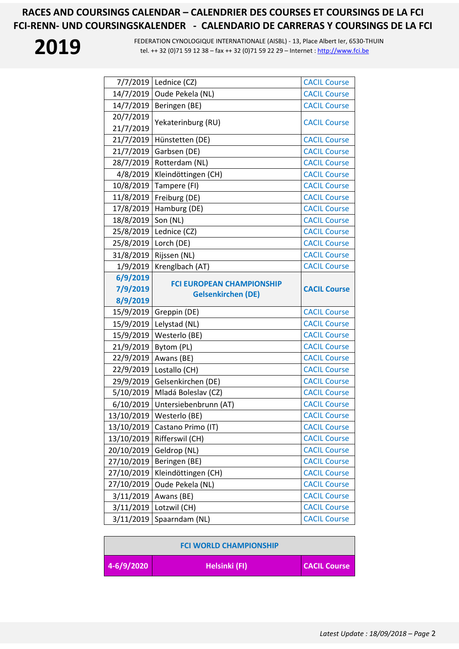| 7/7/2019   | Lednice (CZ)                                                  | <b>CACIL Course</b> |
|------------|---------------------------------------------------------------|---------------------|
| 14/7/2019  | Oude Pekela (NL)                                              | <b>CACIL Course</b> |
| 14/7/2019  | Beringen (BE)                                                 | <b>CACIL Course</b> |
| 20/7/2019  | Yekaterinburg (RU)                                            | <b>CACIL Course</b> |
| 21/7/2019  |                                                               |                     |
| 21/7/2019  | Hünstetten (DE)                                               | <b>CACIL Course</b> |
| 21/7/2019  | Garbsen (DE)                                                  | <b>CACIL Course</b> |
| 28/7/2019  | Rotterdam (NL)                                                | <b>CACIL Course</b> |
| 4/8/2019   | Kleindöttingen (CH)                                           | <b>CACIL Course</b> |
| 10/8/2019  | Tampere (FI)                                                  | <b>CACIL Course</b> |
| 11/8/2019  | Freiburg (DE)                                                 | <b>CACIL Course</b> |
| 17/8/2019  | Hamburg (DE)                                                  | <b>CACIL Course</b> |
| 18/8/2019  | Son (NL)                                                      | <b>CACIL Course</b> |
| 25/8/2019  | Lednice (CZ)                                                  | <b>CACIL Course</b> |
| 25/8/2019  | Lorch (DE)                                                    | <b>CACIL Course</b> |
| 31/8/2019  | Rijssen (NL)                                                  | <b>CACIL Course</b> |
| 1/9/2019   | Krenglbach (AT)                                               | <b>CACIL Course</b> |
| 6/9/2019   |                                                               |                     |
| 7/9/2019   | <b>FCI EUROPEAN CHAMPIONSHIP</b><br><b>Gelsenkirchen (DE)</b> | <b>CACIL Course</b> |
| 8/9/2019   |                                                               |                     |
|            |                                                               |                     |
| 15/9/2019  | Greppin (DE)                                                  | <b>CACIL Course</b> |
| 15/9/2019  | Lelystad (NL)                                                 | <b>CACIL Course</b> |
| 15/9/2019  | Westerlo (BE)                                                 | <b>CACIL Course</b> |
| 21/9/2019  | Bytom (PL)                                                    | <b>CACIL Course</b> |
| 22/9/2019  | Awans (BE)                                                    | <b>CACIL Course</b> |
| 22/9/2019  | Lostallo (CH)                                                 | <b>CACIL Course</b> |
| 29/9/2019  | Gelsenkirchen (DE)                                            | <b>CACIL Course</b> |
| 5/10/2019  | Mladá Boleslav (CZ)                                           | <b>CACIL Course</b> |
| 6/10/2019  | Untersiebenbrunn (AT)                                         | <b>CACIL Course</b> |
| 13/10/2019 | Westerlo (BE)                                                 | <b>CACIL Course</b> |
| 13/10/2019 | Castano Primo (IT)                                            | <b>CACIL Course</b> |
| 13/10/2019 | Rifferswil (CH)                                               | <b>CACIL Course</b> |
| 20/10/2019 | Geldrop (NL)                                                  | <b>CACIL Course</b> |
| 27/10/2019 | Beringen (BE)                                                 | <b>CACIL Course</b> |
| 27/10/2019 | Kleindöttingen (CH)                                           | <b>CACIL Course</b> |
| 27/10/2019 | Oude Pekela (NL)                                              | <b>CACIL Course</b> |
| 3/11/2019  | Awans (BE)                                                    | <b>CACIL Course</b> |
| 3/11/2019  | Lotzwil (CH)                                                  | <b>CACIL Course</b> |
| 3/11/2019  | Spaarndam (NL)                                                | <b>CACIL Course</b> |

| <b>FCI WORLD CHAMPIONSHIP</b> |               |                     |
|-------------------------------|---------------|---------------------|
| $4-6/9/2020$                  | Helsinki (FI) | <b>CACIL Course</b> |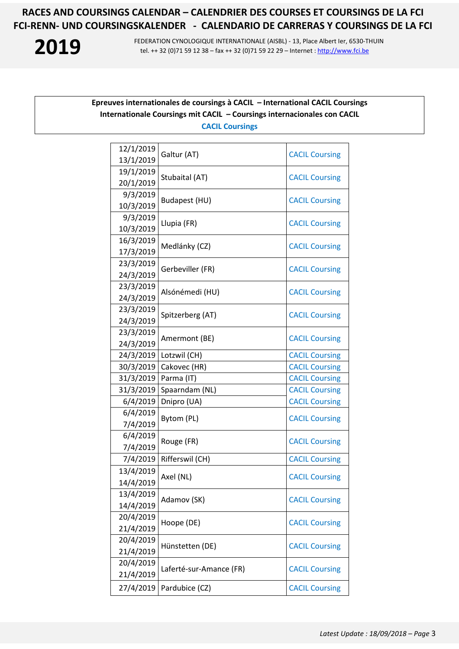

**2019** FEDERATION CYNOLOGIQUE INTERNATIONALE (AISBL) - 13, Place Albert Ier, 6530-THUIN<br>tel. ++ 32 (0)71 59 12 38 – fax ++ 32 (0)71 59 22 29 – Internet : http://www.fci.be tel. ++ 32 (0)71 59 12 38 – fax ++ 32 (0)71 59 22 29 – Internet : http://www.fci.be

### **Epreuves internationales de coursings à CACIL – International CACIL Coursings Internationale Coursings mit CACIL – Coursings internacionales con CACIL CACIL Coursings**

| 12/1/2019<br>13/1/2019 | Galtur (AT)             | <b>CACIL Coursing</b> |
|------------------------|-------------------------|-----------------------|
| 19/1/2019              |                         |                       |
| 20/1/2019              | Stubaital (AT)          | <b>CACIL Coursing</b> |
| 9/3/2019               | Budapest (HU)           |                       |
| 10/3/2019              |                         | <b>CACIL Coursing</b> |
| 9/3/2019               | Llupia (FR)             |                       |
| 10/3/2019              |                         | <b>CACIL Coursing</b> |
| 16/3/2019              | Medlánky (CZ)           | <b>CACIL Coursing</b> |
| 17/3/2019              |                         |                       |
| 23/3/2019              | Gerbeviller (FR)        | <b>CACIL Coursing</b> |
| 24/3/2019              |                         |                       |
| 23/3/2019              | Alsónémedi (HU)         | <b>CACIL Coursing</b> |
| 24/3/2019              |                         |                       |
| 23/3/2019              | Spitzerberg (AT)        | <b>CACIL Coursing</b> |
| 24/3/2019              |                         |                       |
| 23/3/2019              | Amermont (BE)           | <b>CACIL Coursing</b> |
| 24/3/2019              |                         |                       |
| 24/3/2019              | Lotzwil (CH)            | <b>CACIL Coursing</b> |
| 30/3/2019              | Cakovec (HR)            | <b>CACIL Coursing</b> |
| 31/3/2019              | Parma (IT)              | <b>CACIL Coursing</b> |
| 31/3/2019              | Spaarndam (NL)          | <b>CACIL Coursing</b> |
| 6/4/2019               | Dnipro (UA)             | <b>CACIL Coursing</b> |
| 6/4/2019               | Bytom (PL)              | <b>CACIL Coursing</b> |
| 7/4/2019               |                         |                       |
| 6/4/2019               | Rouge (FR)              | <b>CACIL Coursing</b> |
| 7/4/2019               |                         |                       |
| 7/4/2019               | Rifferswil (CH)         | <b>CACIL Coursing</b> |
| 13/4/2019              | Axel (NL)               | <b>CACIL Coursing</b> |
| 14/4/2019              |                         |                       |
| 13/4/2019              | Adamov (SK)             | <b>CACIL Coursing</b> |
| 14/4/2019              |                         |                       |
| 20/4/2019              | Hoope (DE)              | <b>CACIL Coursing</b> |
| 21/4/2019              |                         |                       |
| 20/4/2019              | Hünstetten (DE)         | <b>CACIL Coursing</b> |
| 21/4/2019              |                         |                       |
| 20/4/2019              | Laferté-sur-Amance (FR) | <b>CACIL Coursing</b> |
| 21/4/2019              |                         |                       |
| 27/4/2019              | Pardubice (CZ)          | <b>CACIL Coursing</b> |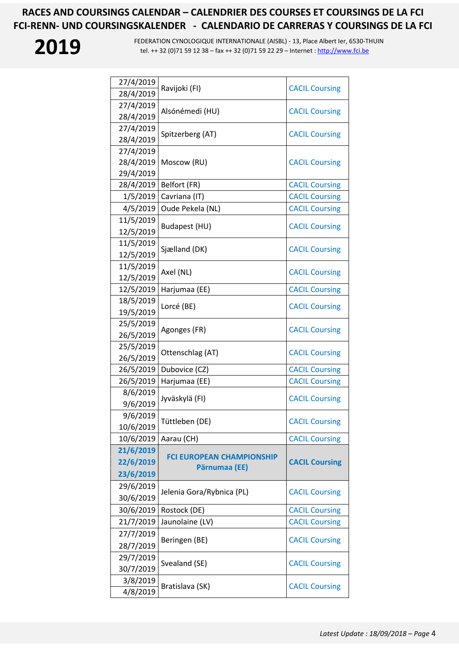| 27/4/2019 | Ravijoki (FI)                                     | <b>CACIL Coursing</b> |
|-----------|---------------------------------------------------|-----------------------|
| 28/4/2019 |                                                   |                       |
| 27/4/2019 | Alsónémedi (HU)                                   | <b>CACIL Coursing</b> |
| 28/4/2019 |                                                   |                       |
| 27/4/2019 | Spitzerberg (AT)                                  | <b>CACIL Coursing</b> |
| 28/4/2019 |                                                   |                       |
| 27/4/2019 |                                                   |                       |
| 28/4/2019 | Moscow (RU)                                       | <b>CACIL Coursing</b> |
| 29/4/2019 |                                                   |                       |
| 28/4/2019 | Belfort (FR)                                      | <b>CACIL Coursing</b> |
| 1/5/2019  | Cavriana (IT)                                     | <b>CACIL Coursing</b> |
| 4/5/2019  | Oude Pekela (NL)                                  | <b>CACIL Coursing</b> |
| 11/5/2019 | Budapest (HU)                                     | <b>CACIL Coursing</b> |
| 12/5/2019 |                                                   |                       |
| 11/5/2019 | Sjælland (DK)                                     | <b>CACIL Coursing</b> |
| 12/5/2019 |                                                   |                       |
| 11/5/2019 | Axel (NL)                                         | <b>CACIL Coursing</b> |
| 12/5/2019 |                                                   |                       |
| 12/5/2019 | Harjumaa (EE)                                     | <b>CACIL Coursing</b> |
| 18/5/2019 | Lorcé (BE)                                        | <b>CACIL Coursing</b> |
| 19/5/2019 |                                                   |                       |
| 25/5/2019 | Agonges (FR)                                      | <b>CACIL Coursing</b> |
| 26/5/2019 |                                                   |                       |
| 25/5/2019 | Ottenschlag (AT)                                  | <b>CACIL Coursing</b> |
| 26/5/2019 |                                                   |                       |
| 26/5/2019 | Dubovice (CZ)                                     | <b>CACIL Coursing</b> |
| 26/5/2019 | Harjumaa (EE)                                     | <b>CACIL Coursing</b> |
| 8/6/2019  | Jyväskylä (FI)                                    | <b>CACIL Coursing</b> |
| 9/6/2019  |                                                   |                       |
| 9/6/2019  | Tüttleben (DE)                                    |                       |
| 10/6/2019 |                                                   | <b>CACIL Coursing</b> |
| 10/6/2019 | Aarau (CH)                                        | <b>CACIL Coursing</b> |
| 21/6/2019 |                                                   |                       |
| 22/6/2019 | <b>FCI EUROPEAN CHAMPIONSHIP</b><br>Pärnumaa (EE) | <b>CACIL Coursing</b> |
| 23/6/2019 |                                                   |                       |
| 29/6/2019 |                                                   |                       |
| 30/6/2019 | Jelenia Gora/Rybnica (PL)                         | <b>CACIL Coursing</b> |
| 30/6/2019 | Rostock (DE)                                      | <b>CACIL Coursing</b> |
| 21/7/2019 | Jaunolaine (LV)                                   | <b>CACIL Coursing</b> |
| 27/7/2019 |                                                   |                       |
| 28/7/2019 | Beringen (BE)                                     | <b>CACIL Coursing</b> |
| 29/7/2019 |                                                   |                       |
| 30/7/2019 | Svealand (SE)                                     | <b>CACIL Coursing</b> |
| 3/8/2019  |                                                   |                       |
| 4/8/2019  | Bratislava (SK)                                   | <b>CACIL Coursing</b> |
|           |                                                   |                       |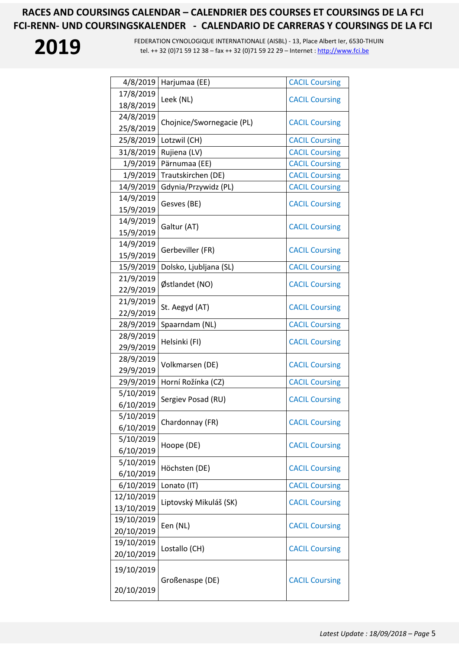

| 4/8/2019   | Harjumaa (EE)             | <b>CACIL Coursing</b> |
|------------|---------------------------|-----------------------|
| 17/8/2019  | Leek (NL)                 | <b>CACIL Coursing</b> |
| 18/8/2019  |                           |                       |
| 24/8/2019  | Chojnice/Swornegacie (PL) | <b>CACIL Coursing</b> |
| 25/8/2019  |                           |                       |
| 25/8/2019  | Lotzwil (CH)              | <b>CACIL Coursing</b> |
| 31/8/2019  | Rujiena (LV)              | <b>CACIL Coursing</b> |
| 1/9/2019   | Pärnumaa (EE)             | <b>CACIL Coursing</b> |
| 1/9/2019   | Trautskirchen (DE)        | <b>CACIL Coursing</b> |
| 14/9/2019  | Gdynia/Przywidz (PL)      | <b>CACIL Coursing</b> |
| 14/9/2019  |                           |                       |
| 15/9/2019  | Gesves (BE)               | <b>CACIL Coursing</b> |
| 14/9/2019  |                           |                       |
| 15/9/2019  | Galtur (AT)               | <b>CACIL Coursing</b> |
| 14/9/2019  |                           |                       |
| 15/9/2019  | Gerbeviller (FR)          | <b>CACIL Coursing</b> |
| 15/9/2019  | Dolsko, Ljubljana (SL)    | <b>CACIL Coursing</b> |
| 21/9/2019  | Østlandet (NO)            | <b>CACIL Coursing</b> |
| 22/9/2019  |                           |                       |
| 21/9/2019  | St. Aegyd (AT)            | <b>CACIL Coursing</b> |
| 22/9/2019  |                           |                       |
| 28/9/2019  | Spaarndam (NL)            | <b>CACIL Coursing</b> |
| 28/9/2019  | Helsinki (FI)             | <b>CACIL Coursing</b> |
| 29/9/2019  |                           |                       |
| 28/9/2019  | Volkmarsen (DE)           | <b>CACIL Coursing</b> |
| 29/9/2019  |                           |                       |
| 29/9/2019  | Horní Rožínka (CZ)        | <b>CACIL Coursing</b> |
| 5/10/2019  | Sergiev Posad (RU)        | <b>CACIL Coursing</b> |
| 6/10/2019  |                           |                       |
| 5/10/2019  | Chardonnay (FR)           | <b>CACIL Coursing</b> |
| 6/10/2019  |                           |                       |
| 5/10/2019  | Hoope (DE)                | <b>CACIL Coursing</b> |
| 6/10/2019  |                           |                       |
| 5/10/2019  | Höchsten (DE)             | <b>CACIL Coursing</b> |
| 6/10/2019  |                           |                       |
| 6/10/2019  | Lonato (IT)               | <b>CACIL Coursing</b> |
| 12/10/2019 | Liptovský Mikuláš (SK)    | <b>CACIL Coursing</b> |
| 13/10/2019 |                           |                       |
| 19/10/2019 | Een (NL)                  | <b>CACIL Coursing</b> |
| 20/10/2019 |                           |                       |
| 19/10/2019 | Lostallo (CH)             | <b>CACIL Coursing</b> |
| 20/10/2019 |                           |                       |
| 19/10/2019 |                           |                       |
| 20/10/2019 | Großenaspe (DE)           | <b>CACIL Coursing</b> |